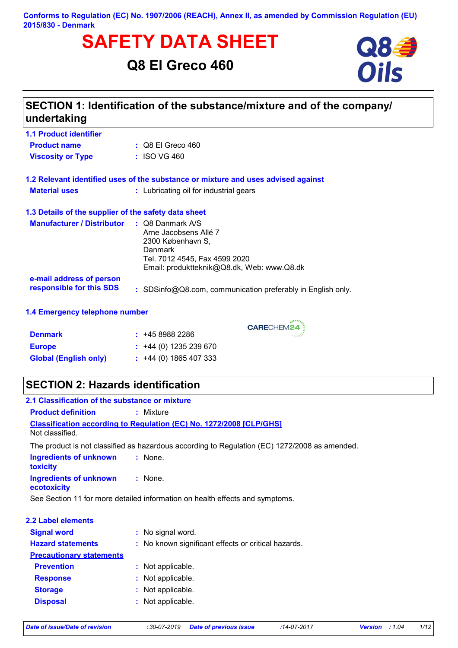### **Conforms to Regulation (EC) No. 1907/2006 (REACH), Annex II, as amended by Commission Regulation (EU) 2015/830 - Denmark**

# **SAFETY DATA SHEET**<br>
Q8 EI Greco 460<br>
Oils

# **Q8 El Greco 460**



| <b>1.1 Product identifier</b>                        |                                                                                                                                                                            |
|------------------------------------------------------|----------------------------------------------------------------------------------------------------------------------------------------------------------------------------|
| <b>Product name</b>                                  | $\therefore$ Q8 El Greco 460                                                                                                                                               |
| <b>Viscosity or Type</b>                             | : ISO VG 460                                                                                                                                                               |
|                                                      | 1.2 Relevant identified uses of the substance or mixture and uses advised against                                                                                          |
| <b>Material uses</b>                                 | : Lubricating oil for industrial gears                                                                                                                                     |
| 1.3 Details of the supplier of the safety data sheet |                                                                                                                                                                            |
| <b>Manufacturer / Distributor</b>                    | $\therefore$ Q8 Danmark A/S<br>Arne Jacobsens Allé 7<br>2300 København S.<br><b>Danmark</b><br>Tel. 7012 4545, Fax 4599 2020<br>Email: produktteknik@Q8.dk, Web: www.Q8.dk |
| e-mail address of person<br>responsible for this SDS | : SDSinfo@Q8.com, communication preferably in English only.                                                                                                                |
| 1.4 Emergency telephone number                       |                                                                                                                                                                            |

CARECHEM24

| <b>Denmark</b>               | : 4589882286                |  |
|------------------------------|-----------------------------|--|
| <b>Europe</b>                | $\div$ +44 (0) 1235 239 670 |  |
| <b>Global (English only)</b> | $\div$ +44 (0) 1865 407 333 |  |

# **SECTION 2: Hazards identification**

| 2.1 Classification of the substance or mixture                               |                                                                                               |  |  |  |
|------------------------------------------------------------------------------|-----------------------------------------------------------------------------------------------|--|--|--|
| <b>Product definition</b>                                                    | : Mixture                                                                                     |  |  |  |
|                                                                              | <b>Classification according to Regulation (EC) No. 1272/2008 [CLP/GHS]</b>                    |  |  |  |
| Not classified.                                                              |                                                                                               |  |  |  |
|                                                                              | The product is not classified as hazardous according to Regulation (EC) 1272/2008 as amended. |  |  |  |
| <b>Ingredients of unknown</b><br>toxicity                                    | : None.                                                                                       |  |  |  |
| <b>Ingredients of unknown</b><br>ecotoxicity                                 | $:$ None.                                                                                     |  |  |  |
| See Section 11 for more detailed information on health effects and symptoms. |                                                                                               |  |  |  |
| 2.2 Label elements                                                           |                                                                                               |  |  |  |
| <b>Signal word</b>                                                           | : No signal word.                                                                             |  |  |  |
| <b>Hazard statements</b>                                                     | : No known significant effects or critical hazards.                                           |  |  |  |
| <b>Precautionary statements</b>                                              |                                                                                               |  |  |  |
| <b>Prevention</b>                                                            | : Not applicable.                                                                             |  |  |  |
| <b>Response</b>                                                              | : Not applicable.                                                                             |  |  |  |
| <b>Storage</b>                                                               | : Not applicable.                                                                             |  |  |  |
| <b>Disposal</b>                                                              | : Not applicable.                                                                             |  |  |  |
|                                                                              |                                                                                               |  |  |  |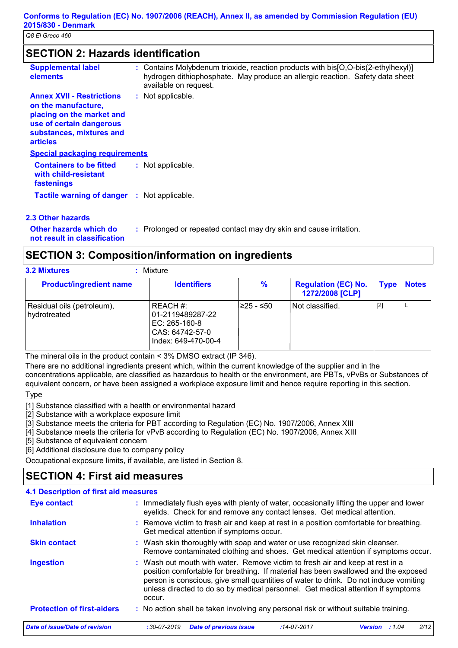# **SECTION 2: Hazards identification**

| <b>Supplemental label</b><br>elements                                                                                                                           | : Contains Molybdenum trioxide, reaction products with bis [O,O-bis (2-ethylhexyl)]<br>hydrogen dithiophosphate. May produce an allergic reaction. Safety data sheet<br>available on request. |  |  |  |  |
|-----------------------------------------------------------------------------------------------------------------------------------------------------------------|-----------------------------------------------------------------------------------------------------------------------------------------------------------------------------------------------|--|--|--|--|
| <b>Annex XVII - Restrictions</b><br>on the manufacture,<br>placing on the market and<br>use of certain dangerous<br>substances, mixtures and<br><b>articles</b> | : Not applicable.                                                                                                                                                                             |  |  |  |  |
| <b>Special packaging requirements</b>                                                                                                                           |                                                                                                                                                                                               |  |  |  |  |
| <b>Containers to be fitted</b><br>with child-resistant<br>fastenings                                                                                            | : Not applicable.                                                                                                                                                                             |  |  |  |  |
| <b>Tactile warning of danger</b>                                                                                                                                | : Not applicable.                                                                                                                                                                             |  |  |  |  |
| <b>2.3 Other hazards</b>                                                                                                                                        |                                                                                                                                                                                               |  |  |  |  |

### **Other hazards which do : not result in classification** : Prolonged or repeated contact may dry skin and cause irritation.

# **SECTION 3: Composition/information on ingredients**

| <b>3.2 Mixtures</b><br>Mixture               |                                                                                         |            |                                               |             |              |
|----------------------------------------------|-----------------------------------------------------------------------------------------|------------|-----------------------------------------------|-------------|--------------|
| <b>Product/ingredient name</b>               | <b>Identifiers</b>                                                                      | ℅          | <b>Regulation (EC) No.</b><br>1272/2008 [CLP] | <b>Type</b> | <b>Notes</b> |
| Residual oils (petroleum),<br>I hvdrotreated | REACH #:<br>01-2119489287-22<br>EC: 265-160-8<br>CAS: 64742-57-0<br>Index: 649-470-00-4 | l≥25 - ≤50 | Not classified.                               | $[2]$       |              |

The mineral oils in the product contain < 3% DMSO extract (IP 346).

There are no additional ingredients present which, within the current knowledge of the supplier and in the concentrations applicable, are classified as hazardous to health or the environment, are PBTs, vPvBs or Substances of equivalent concern, or have been assigned a workplace exposure limit and hence require reporting in this section.

Type

[1] Substance classified with a health or environmental hazard

[2] Substance with a workplace exposure limit

[3] Substance meets the criteria for PBT according to Regulation (EC) No. 1907/2006, Annex XIII

[4] Substance meets the criteria for vPvB according to Regulation (EC) No. 1907/2006, Annex XIII

[5] Substance of equivalent concern

[6] Additional disclosure due to company policy

Occupational exposure limits, if available, are listed in Section 8.

# **SECTION 4: First aid measures**

| 4.1 Description of first aid measures |                                                                                                                                                                                                                                                                                                                                                           |
|---------------------------------------|-----------------------------------------------------------------------------------------------------------------------------------------------------------------------------------------------------------------------------------------------------------------------------------------------------------------------------------------------------------|
| <b>Eye contact</b>                    | : Immediately flush eyes with plenty of water, occasionally lifting the upper and lower<br>eyelids. Check for and remove any contact lenses. Get medical attention.                                                                                                                                                                                       |
| <b>Inhalation</b>                     | : Remove victim to fresh air and keep at rest in a position comfortable for breathing.<br>Get medical attention if symptoms occur.                                                                                                                                                                                                                        |
| <b>Skin contact</b>                   | : Wash skin thoroughly with soap and water or use recognized skin cleanser.<br>Remove contaminated clothing and shoes. Get medical attention if symptoms occur.                                                                                                                                                                                           |
| <b>Ingestion</b>                      | : Wash out mouth with water. Remove victim to fresh air and keep at rest in a<br>position comfortable for breathing. If material has been swallowed and the exposed<br>person is conscious, give small quantities of water to drink. Do not induce vomiting<br>unless directed to do so by medical personnel. Get medical attention if symptoms<br>occur. |
| <b>Protection of first-aiders</b>     | : No action shall be taken involving any personal risk or without suitable training.                                                                                                                                                                                                                                                                      |
| Date of issue/Date of revision        | $:30 - 07 - 2019$<br><b>Date of previous issue</b><br>2/12<br>$:14 - 07 - 2017$<br>:1.04<br><b>Version</b>                                                                                                                                                                                                                                                |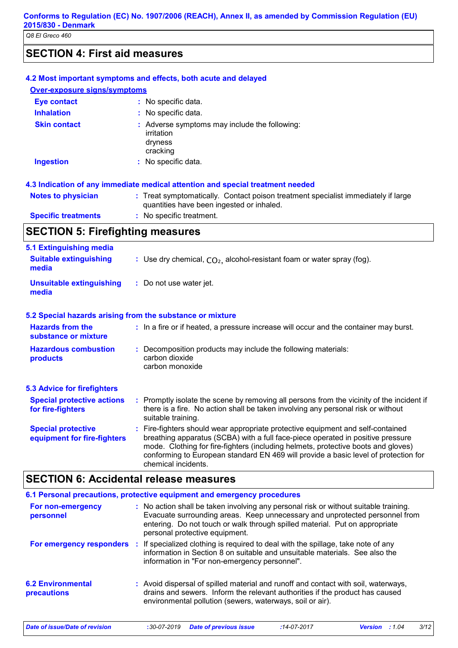# **SECTION 4: First aid measures**

|                                                 | 4.2 Most important symptoms and effects, both acute and delayed                                                                |  |  |
|-------------------------------------------------|--------------------------------------------------------------------------------------------------------------------------------|--|--|
| Over-exposure signs/symptoms                    |                                                                                                                                |  |  |
| <b>Eye contact</b>                              | : No specific data.                                                                                                            |  |  |
| <b>Inhalation</b>                               | : No specific data.                                                                                                            |  |  |
| <b>Skin contact</b>                             | : Adverse symptoms may include the following:<br>irritation<br>dryness<br>cracking                                             |  |  |
| <b>Ingestion</b>                                | : No specific data.                                                                                                            |  |  |
|                                                 | 4.3 Indication of any immediate medical attention and special treatment needed                                                 |  |  |
| <b>Notes to physician</b>                       | : Treat symptomatically. Contact poison treatment specialist immediately if large<br>quantities have been ingested or inhaled. |  |  |
| <b>Specific treatments</b>                      | : No specific treatment.                                                                                                       |  |  |
| <b>SECTION 5: Firefighting measures</b>         |                                                                                                                                |  |  |
| 5.1 Extinguishing media                         |                                                                                                                                |  |  |
| <b>Suitable extinguishing</b><br>media          | : Use dry chemical, $CO2$ , alcohol-resistant foam or water spray (fog).                                                       |  |  |
| <b>Unsuitable extinguishing</b><br>media        | : Do not use water jet.                                                                                                        |  |  |
|                                                 | 5.2 Special hazards arising from the substance or mixture                                                                      |  |  |
| <b>Hazards from the</b><br>substance or mixture | : In a fire or if heated, a pressure increase will occur and the container may burst.                                          |  |  |
| <b>Hazardous combustion</b><br>products         | Decomposition products may include the following materials:<br>carbon dioxide<br>carbon monoxide                               |  |  |

| <b>5.3 Advice for firefighters</b>                       |                                                                                                                                                                                                                                                                                                                                                                       |
|----------------------------------------------------------|-----------------------------------------------------------------------------------------------------------------------------------------------------------------------------------------------------------------------------------------------------------------------------------------------------------------------------------------------------------------------|
| <b>Special protective actions</b><br>for fire-fighters   | : Promptly isolate the scene by removing all persons from the vicinity of the incident if<br>there is a fire. No action shall be taken involving any personal risk or without<br>suitable training.                                                                                                                                                                   |
| <b>Special protective</b><br>equipment for fire-fighters | : Fire-fighters should wear appropriate protective equipment and self-contained<br>breathing apparatus (SCBA) with a full face-piece operated in positive pressure<br>mode. Clothing for fire-fighters (including helmets, protective boots and gloves)<br>conforming to European standard EN 469 will provide a basic level of protection for<br>chemical incidents. |

# **SECTION 6: Accidental release measures**

|                                         |   | 6.1 Personal precautions, protective equipment and emergency procedures                                                                                                                                                                                                              |
|-----------------------------------------|---|--------------------------------------------------------------------------------------------------------------------------------------------------------------------------------------------------------------------------------------------------------------------------------------|
| For non-emergency<br>personnel          |   | : No action shall be taken involving any personal risk or without suitable training.<br>Evacuate surrounding areas. Keep unnecessary and unprotected personnel from<br>entering. Do not touch or walk through spilled material. Put on appropriate<br>personal protective equipment. |
| For emergency responders                | ÷ | If specialized clothing is required to deal with the spillage, take note of any<br>information in Section 8 on suitable and unsuitable materials. See also the<br>information in "For non-emergency personnel".                                                                      |
| <b>6.2 Environmental</b><br>precautions |   | : Avoid dispersal of spilled material and runoff and contact with soil, waterways,<br>drains and sewers. Inform the relevant authorities if the product has caused<br>environmental pollution (sewers, waterways, soil or air).                                                      |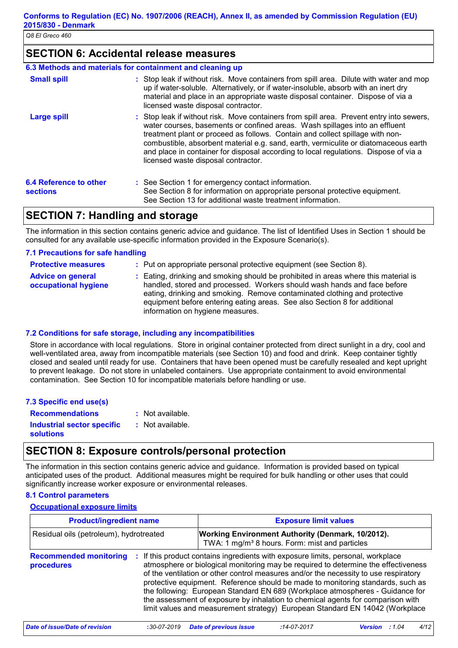# **SECTION 6: Accidental release measures**

|                                                  | 6.3 Methods and materials for containment and cleaning up                                                                                                                                                                                                                                                                                                                                                                                                                      |
|--------------------------------------------------|--------------------------------------------------------------------------------------------------------------------------------------------------------------------------------------------------------------------------------------------------------------------------------------------------------------------------------------------------------------------------------------------------------------------------------------------------------------------------------|
| <b>Small spill</b>                               | : Stop leak if without risk. Move containers from spill area. Dilute with water and mop<br>up if water-soluble. Alternatively, or if water-insoluble, absorb with an inert dry<br>material and place in an appropriate waste disposal container. Dispose of via a<br>licensed waste disposal contractor.                                                                                                                                                                       |
| Large spill                                      | : Stop leak if without risk. Move containers from spill area. Prevent entry into sewers,<br>water courses, basements or confined areas. Wash spillages into an effluent<br>treatment plant or proceed as follows. Contain and collect spillage with non-<br>combustible, absorbent material e.g. sand, earth, vermiculite or diatomaceous earth<br>and place in container for disposal according to local regulations. Dispose of via a<br>licensed waste disposal contractor. |
| <b>6.4 Reference to other</b><br><b>sections</b> | : See Section 1 for emergency contact information.<br>See Section 8 for information on appropriate personal protective equipment.<br>See Section 13 for additional waste treatment information.                                                                                                                                                                                                                                                                                |

# **SECTION 7: Handling and storage**

The information in this section contains generic advice and guidance. The list of Identified Uses in Section 1 should be consulted for any available use-specific information provided in the Exposure Scenario(s).

### **7.1 Precautions for safe handling**

| <b>Protective measures</b>                              | : Put on appropriate personal protective equipment (see Section 8).                                                                                                                                                                                                                                                                                           |
|---------------------------------------------------------|---------------------------------------------------------------------------------------------------------------------------------------------------------------------------------------------------------------------------------------------------------------------------------------------------------------------------------------------------------------|
| <b>Advice on general</b><br><b>occupational hygiene</b> | : Eating, drinking and smoking should be prohibited in areas where this material is<br>handled, stored and processed. Workers should wash hands and face before<br>eating, drinking and smoking. Remove contaminated clothing and protective<br>equipment before entering eating areas. See also Section 8 for additional<br>information on hygiene measures. |

### **7.2 Conditions for safe storage, including any incompatibilities**

Store in accordance with local regulations. Store in original container protected from direct sunlight in a dry, cool and well-ventilated area, away from incompatible materials (see Section 10) and food and drink. Keep container tightly closed and sealed until ready for use. Containers that have been opened must be carefully resealed and kept upright to prevent leakage. Do not store in unlabeled containers. Use appropriate containment to avoid environmental contamination. See Section 10 for incompatible materials before handling or use.

| 7.3 Specific end use(s)    |                  |
|----------------------------|------------------|
| <b>Recommendations</b>     | : Not available. |
| Industrial sector specific | : Not available. |
| <b>solutions</b>           |                  |

# **SECTION 8: Exposure controls/personal protection**

The information in this section contains generic advice and guidance. Information is provided based on typical anticipated uses of the product. Additional measures might be required for bulk handling or other uses that could significantly increase worker exposure or environmental releases.

### **8.1 Control parameters**

### **Occupational exposure limits**

| <b>Product/ingredient name</b><br>Residual oils (petroleum), hydrotreated<br><b>Recommended monitoring</b><br>procedures |  | <b>Exposure limit values</b><br><b>Working Environment Authority (Denmark, 10/2012).</b><br>TWA: 1 mg/m <sup>3</sup> 8 hours. Form: mist and particles |  |
|--------------------------------------------------------------------------------------------------------------------------|--|--------------------------------------------------------------------------------------------------------------------------------------------------------|--|
|                                                                                                                          |  |                                                                                                                                                        |  |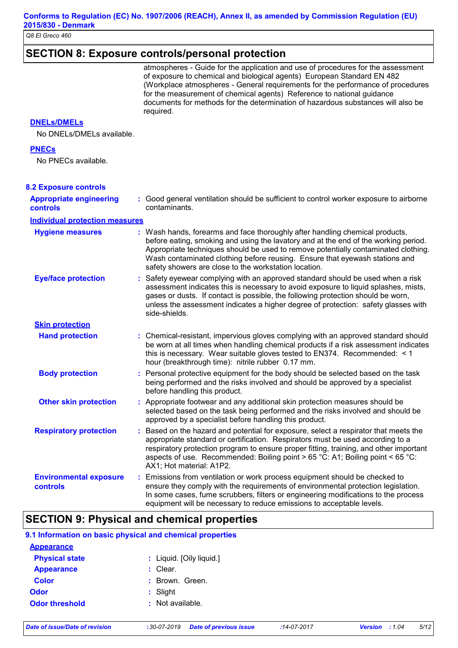**Conforms to Regulation (EC) No. 1907/2006 (REACH), Annex II, as amended by Commission Regulation (EU) 2015/830 - Denmark**

*Q8 El Greco 460*

# **SECTION 8: Exposure controls/personal protection**

|                                                   | atmospheres - Guide for the application and use of procedures for the assessment<br>of exposure to chemical and biological agents) European Standard EN 482<br>(Workplace atmospheres - General requirements for the performance of procedures<br>for the measurement of chemical agents) Reference to national guidance<br>documents for methods for the determination of hazardous substances will also be<br>required. |
|---------------------------------------------------|---------------------------------------------------------------------------------------------------------------------------------------------------------------------------------------------------------------------------------------------------------------------------------------------------------------------------------------------------------------------------------------------------------------------------|
| <b>DNELS/DMELS</b><br>No DNELs/DMELs available.   |                                                                                                                                                                                                                                                                                                                                                                                                                           |
| <b>PNECs</b><br>No PNECs available.               |                                                                                                                                                                                                                                                                                                                                                                                                                           |
| <b>8.2 Exposure controls</b>                      |                                                                                                                                                                                                                                                                                                                                                                                                                           |
| <b>Appropriate engineering</b><br><b>controls</b> | : Good general ventilation should be sufficient to control worker exposure to airborne<br>contaminants.                                                                                                                                                                                                                                                                                                                   |
| <b>Individual protection measures</b>             |                                                                                                                                                                                                                                                                                                                                                                                                                           |
| <b>Hygiene measures</b>                           | : Wash hands, forearms and face thoroughly after handling chemical products,<br>before eating, smoking and using the lavatory and at the end of the working period.<br>Appropriate techniques should be used to remove potentially contaminated clothing.<br>Wash contaminated clothing before reusing. Ensure that eyewash stations and<br>safety showers are close to the workstation location.                         |
| <b>Eye/face protection</b>                        | : Safety eyewear complying with an approved standard should be used when a risk<br>assessment indicates this is necessary to avoid exposure to liquid splashes, mists,<br>gases or dusts. If contact is possible, the following protection should be worn,<br>unless the assessment indicates a higher degree of protection: safety glasses with<br>side-shields.                                                         |
| <b>Skin protection</b>                            |                                                                                                                                                                                                                                                                                                                                                                                                                           |
| <b>Hand protection</b>                            | : Chemical-resistant, impervious gloves complying with an approved standard should<br>be worn at all times when handling chemical products if a risk assessment indicates<br>this is necessary. Wear suitable gloves tested to EN374. Recommended: $\leq 1$<br>hour (breakthrough time): nitrile rubber 0.17 mm.                                                                                                          |
| <b>Body protection</b>                            | : Personal protective equipment for the body should be selected based on the task<br>being performed and the risks involved and should be approved by a specialist<br>before handling this product.                                                                                                                                                                                                                       |
| <b>Other skin protection</b>                      | : Appropriate footwear and any additional skin protection measures should be<br>selected based on the task being performed and the risks involved and should be<br>approved by a specialist before handling this product.                                                                                                                                                                                                 |
| <b>Respiratory protection</b>                     | : Based on the hazard and potential for exposure, select a respirator that meets the<br>appropriate standard or certification. Respirators must be used according to a<br>respiratory protection program to ensure proper fitting, training, and other important<br>aspects of use. Recommended: Boiling point > 65 °C: A1; Boiling point < 65 °C:<br>AX1; Hot material: A1P2.                                            |
| <b>Environmental exposure</b><br>controls         | : Emissions from ventilation or work process equipment should be checked to<br>ensure they comply with the requirements of environmental protection legislation.<br>In some cases, fume scrubbers, filters or engineering modifications to the process<br>equipment will be necessary to reduce emissions to acceptable levels.                                                                                           |

# **SECTION 9: Physical and chemical properties**

### **9.1 Information on basic physical and chemical properties**

| <b>Appearance</b>     |                          |
|-----------------------|--------------------------|
| <b>Physical state</b> | : Liquid. [Oily liquid.] |
| <b>Appearance</b>     | $:$ Clear.               |
| <b>Color</b>          | : Brown. Green.          |
| <b>Odor</b>           | $:$ Slight               |
| <b>Odor threshold</b> | $:$ Not available.       |
|                       |                          |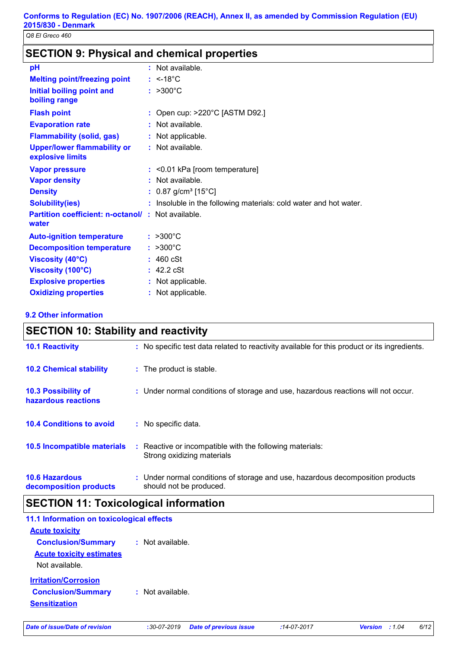# **SECTION 9: Physical and chemical properties**

| рH                                                                | : Not available.                                                  |
|-------------------------------------------------------------------|-------------------------------------------------------------------|
| <b>Melting point/freezing point</b>                               | $: < 18^{\circ}$ C                                                |
| <b>Initial boiling point and</b><br>boiling range                 | $: >300^{\circ}C$                                                 |
| <b>Flash point</b>                                                | : Open cup: >220°C [ASTM D92.]                                    |
| <b>Evaporation rate</b>                                           | : Not available.                                                  |
| <b>Flammability (solid, gas)</b>                                  | : Not applicable.                                                 |
| <b>Upper/lower flammability or</b><br>explosive limits            | : Not available.                                                  |
| <b>Vapor pressure</b>                                             | $:$ <0.01 kPa [room temperature]                                  |
| <b>Vapor density</b>                                              | : Not available.                                                  |
| <b>Density</b>                                                    | : $0.87$ g/cm <sup>3</sup> [15°C]                                 |
| <b>Solubility(ies)</b>                                            | : Insoluble in the following materials: cold water and hot water. |
| <b>Partition coefficient: n-octanol/: Not available.</b><br>water |                                                                   |
| <b>Auto-ignition temperature</b>                                  | $: >300^{\circ}C$                                                 |
| <b>Decomposition temperature</b>                                  | : >300°C                                                          |
| <b>Viscosity (40°C)</b>                                           | : 460 cSt                                                         |
| Viscosity (100°C)                                                 | $: 42.2$ cSt                                                      |
| <b>Explosive properties</b>                                       | : Not applicable.                                                 |
| <b>Oxidizing properties</b>                                       | : Not applicable.                                                 |

### **9.2 Other information**

| <b>SECTION 10: Stability and reactivity</b>       |                                                                                                           |  |
|---------------------------------------------------|-----------------------------------------------------------------------------------------------------------|--|
| <b>10.1 Reactivity</b>                            | : No specific test data related to reactivity available for this product or its ingredients.              |  |
| <b>10.2 Chemical stability</b>                    | : The product is stable.                                                                                  |  |
| <b>10.3 Possibility of</b><br>hazardous reactions | : Under normal conditions of storage and use, hazardous reactions will not occur.                         |  |
| <b>10.4 Conditions to avoid</b>                   | : No specific data.                                                                                       |  |
| 10.5 Incompatible materials                       | Reactive or incompatible with the following materials:<br>Strong oxidizing materials                      |  |
| <b>10.6 Hazardous</b><br>decomposition products   | : Under normal conditions of storage and use, hazardous decomposition products<br>should not be produced. |  |

# **SECTION 11: Toxicological information**

| 11.1 Information on toxicological effects |                    |  |
|-------------------------------------------|--------------------|--|
| <b>Acute toxicity</b>                     |                    |  |
| <b>Conclusion/Summary</b>                 | : Not available.   |  |
| <b>Acute toxicity estimates</b>           |                    |  |
| Not available                             |                    |  |
| <b>Irritation/Corrosion</b>               |                    |  |
| <b>Conclusion/Summary</b>                 | $:$ Not available. |  |
| Sensitization                             |                    |  |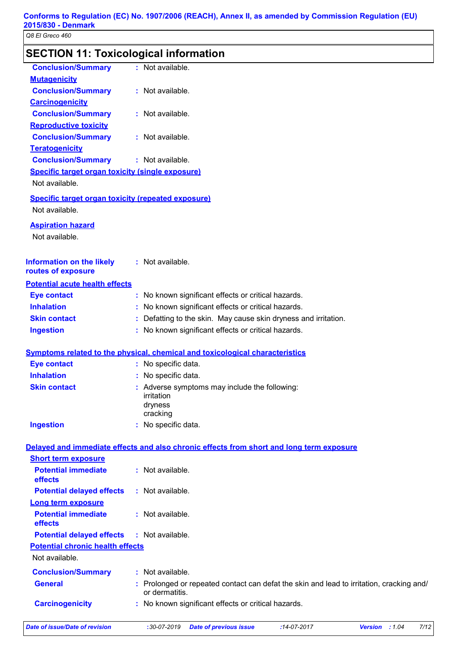# **SECTION 11: Toxicological information**

| <b>Conclusion/Summary</b>                                                   | : Not available.                                                                            |
|-----------------------------------------------------------------------------|---------------------------------------------------------------------------------------------|
| <b>Mutagenicity</b>                                                         |                                                                                             |
| <b>Conclusion/Summary</b>                                                   | : Not available.                                                                            |
| <b>Carcinogenicity</b>                                                      |                                                                                             |
| <b>Conclusion/Summary</b>                                                   | : Not available.                                                                            |
| <b>Reproductive toxicity</b>                                                |                                                                                             |
| <b>Conclusion/Summary</b>                                                   | : Not available.                                                                            |
| <b>Teratogenicity</b>                                                       |                                                                                             |
| <b>Conclusion/Summary</b>                                                   | : Not available.                                                                            |
| <b>Specific target organ toxicity (single exposure)</b>                     |                                                                                             |
| Not available.                                                              |                                                                                             |
|                                                                             |                                                                                             |
| <b>Specific target organ toxicity (repeated exposure)</b><br>Not available. |                                                                                             |
| <b>Aspiration hazard</b>                                                    |                                                                                             |
| Not available.                                                              |                                                                                             |
|                                                                             |                                                                                             |
| <b>Information on the likely</b>                                            | : Not available.                                                                            |
| routes of exposure                                                          |                                                                                             |
| <b>Potential acute health effects</b>                                       |                                                                                             |
| <b>Eye contact</b>                                                          | : No known significant effects or critical hazards.                                         |
| <b>Inhalation</b>                                                           | : No known significant effects or critical hazards.                                         |
| <b>Skin contact</b>                                                         | Defatting to the skin. May cause skin dryness and irritation.                               |
| <b>Ingestion</b>                                                            | : No known significant effects or critical hazards.                                         |
|                                                                             | Symptoms related to the physical, chemical and toxicological characteristics                |
| <b>Eye contact</b>                                                          | : No specific data.                                                                         |
| <b>Inhalation</b>                                                           | : No specific data.                                                                         |
| <b>Skin contact</b>                                                         | : Adverse symptoms may include the following:                                               |
|                                                                             | irritation                                                                                  |
|                                                                             | dryness                                                                                     |
|                                                                             | cracking                                                                                    |
| <b>Ingestion</b>                                                            | No specific data.                                                                           |
|                                                                             | Delayed and immediate effects and also chronic effects from short and long term exposure    |
| <b>Short term exposure</b>                                                  |                                                                                             |
| <b>Potential immediate</b>                                                  | : Not available.                                                                            |
| effects                                                                     |                                                                                             |
| <b>Potential delayed effects</b>                                            | : Not available.                                                                            |
| <b>Long term exposure</b>                                                   |                                                                                             |
| <b>Potential immediate</b>                                                  | : Not available.                                                                            |
| effects                                                                     |                                                                                             |
| <b>Potential delayed effects</b>                                            | : Not available.                                                                            |
| <b>Potential chronic health effects</b><br>Not available.                   |                                                                                             |
| <b>Conclusion/Summary</b>                                                   | : Not available.                                                                            |
| <b>General</b>                                                              | : Prolonged or repeated contact can defat the skin and lead to irritation, cracking and/    |
|                                                                             | or dermatitis.                                                                              |
| <b>Carcinogenicity</b>                                                      | : No known significant effects or critical hazards.                                         |
|                                                                             |                                                                                             |
| <b>Date of issue/Date of revision</b>                                       | 7/12<br>:30-07-2019<br><b>Date of previous issue</b><br>$:14 - 07 - 2017$<br>Version : 1.04 |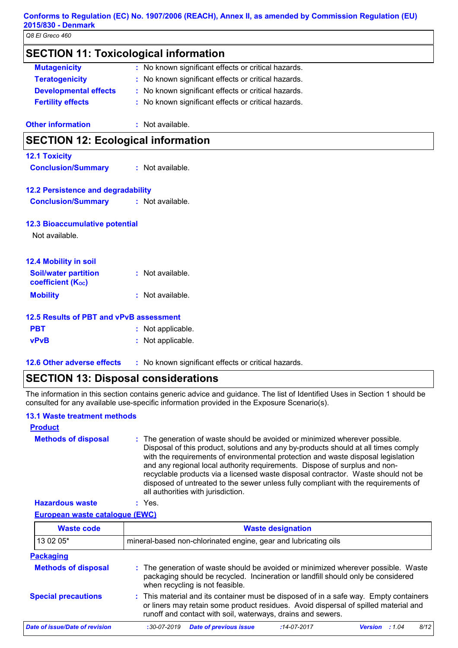| שט בו שופטט אט                                          |                                                     |
|---------------------------------------------------------|-----------------------------------------------------|
| <b>SECTION 11: Toxicological information</b>            |                                                     |
| <b>Mutagenicity</b>                                     | : No known significant effects or critical hazards. |
| <b>Teratogenicity</b>                                   | : No known significant effects or critical hazards. |
| <b>Developmental effects</b>                            | : No known significant effects or critical hazards. |
| <b>Fertility effects</b>                                | : No known significant effects or critical hazards. |
| <b>Other information</b>                                | : Not available.                                    |
| <b>SECTION 12: Ecological information</b>               |                                                     |
| <b>12.1 Toxicity</b>                                    |                                                     |
| <b>Conclusion/Summary</b>                               | : Not available.                                    |
| <b>12.2 Persistence and degradability</b>               |                                                     |
| <b>Conclusion/Summary</b>                               | : Not available.                                    |
| <b>12.3 Bioaccumulative potential</b>                   |                                                     |
| Not available.                                          |                                                     |
| 12.4 Mobility in soil                                   |                                                     |
| <b>Soil/water partition</b><br><b>coefficient (Koc)</b> | : Not available.                                    |
| <b>Mobility</b>                                         | : Not available.                                    |
| 12.5 Results of PBT and vPvB assessment                 |                                                     |
| <b>PBT</b>                                              | : Not applicable.                                   |
| <b>vPvB</b>                                             | : Not applicable.                                   |
| <b>12.6 Other adverse effects</b>                       | : No known significant effects or critical hazards. |

# **SECTION 13: Disposal considerations**

The information in this section contains generic advice and guidance. The list of Identified Uses in Section 1 should be consulted for any available use-specific information provided in the Exposure Scenario(s).

## **13.1 Waste treatment methods**

### **Hazardous waste :** Yes. **Methods of disposal : Product** The generation of waste should be avoided or minimized wherever possible. Disposal of this product, solutions and any by-products should at all times comply with the requirements of environmental protection and waste disposal legislation and any regional local authority requirements. Dispose of surplus and nonrecyclable products via a licensed waste disposal contractor. Waste should not be disposed of untreated to the sewer unless fully compliant with the requirements of all authorities with jurisdiction.

**European waste catalogue (EWC)**

| <b>Waste code</b>                                                                                                                                                                                                                                                         |                                                                                                                                                                                                          | <b>Waste designation</b> |                       |  |      |  |  |
|---------------------------------------------------------------------------------------------------------------------------------------------------------------------------------------------------------------------------------------------------------------------------|----------------------------------------------------------------------------------------------------------------------------------------------------------------------------------------------------------|--------------------------|-----------------------|--|------|--|--|
| 13 02 05*                                                                                                                                                                                                                                                                 | mineral-based non-chlorinated engine, gear and lubricating oils                                                                                                                                          |                          |                       |  |      |  |  |
| <b>Packaging</b>                                                                                                                                                                                                                                                          |                                                                                                                                                                                                          |                          |                       |  |      |  |  |
| <b>Methods of disposal</b>                                                                                                                                                                                                                                                | : The generation of waste should be avoided or minimized wherever possible. Waste<br>packaging should be recycled. Incineration or landfill should only be considered<br>when recycling is not feasible. |                          |                       |  |      |  |  |
| : This material and its container must be disposed of in a safe way. Empty containers<br><b>Special precautions</b><br>or liners may retain some product residues. Avoid dispersal of spilled material and<br>runoff and contact with soil, waterways, drains and sewers. |                                                                                                                                                                                                          |                          |                       |  |      |  |  |
| Date of issue/Date of revision                                                                                                                                                                                                                                            | <b>Date of previous issue</b><br>$:30-07-2019$                                                                                                                                                           | $:14 - 07 - 2017$        | <b>Version</b> : 1.04 |  | 8/12 |  |  |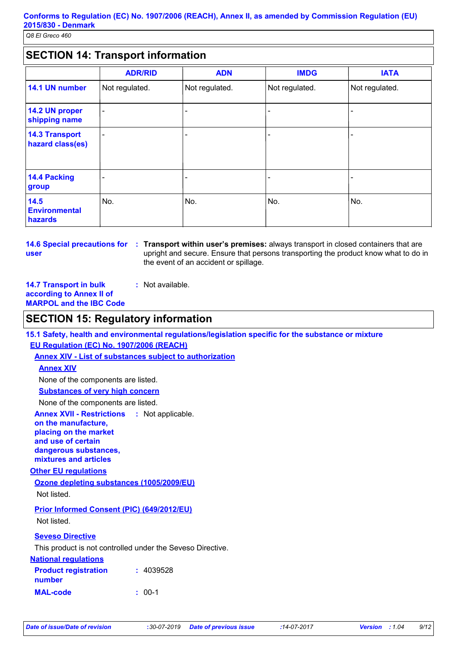# **SECTION 14: Transport information**

|                                           | <b>ADR/RID</b> | <b>ADN</b>     | <b>IMDG</b>    | <b>IATA</b>    |
|-------------------------------------------|----------------|----------------|----------------|----------------|
| 14.1 UN number                            | Not regulated. | Not regulated. | Not regulated. | Not regulated. |
| 14.2 UN proper<br>shipping name           | $\blacksquare$ |                |                |                |
| <b>14.3 Transport</b><br>hazard class(es) | ۰              |                |                |                |
| 14.4 Packing<br>group                     |                |                |                |                |
| 14.5<br><b>Environmental</b><br>hazards   | No.            | No.            | No.            | No.            |

**user**

**14.6 Special precautions for Transport within user's premises:** always transport in closed containers that are **:** upright and secure. Ensure that persons transporting the product know what to do in the event of an accident or spillage.

**14.7 Transport in bulk according to Annex II of MARPOL and the IBC Code**

# **SECTION 15: Regulatory information**

**15.1 Safety, health and environmental regulations/legislation specific for the substance or mixture EU Regulation (EC) No. 1907/2006 (REACH)**

**Annex XIV - List of substances subject to authorization**

**:** Not available.

### **Annex XIV**

None of the components are listed.

**Substances of very high concern**

None of the components are listed.

**Annex XVII - Restrictions** : Not applicable.

**on the manufacture, placing on the market and use of certain dangerous substances,**

**mixtures and articles**

### **Other EU regulations**

**Ozone depleting substances (1005/2009/EU)**

Not listed.

### **Prior Informed Consent (PIC) (649/2012/EU)**

Not listed.

### **Seveso Directive**

This product is not controlled under the Seveso Directive.

| <b>National regulations</b>           |           |  |
|---------------------------------------|-----------|--|
| <b>Product registration</b><br>number | : 4039528 |  |
| <b>MAL-code</b>                       | $: 00-1$  |  |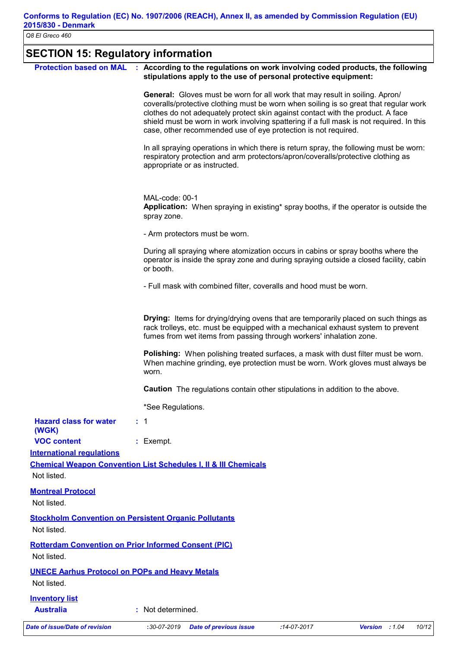# **SECTION 15: Regulatory information**

| <b>Protection based on MAL</b>                                       | : According to the regulations on work involving coded products, the following<br>stipulations apply to the use of personal protective equipment:                                                                                                                                                                                                                                                                             |
|----------------------------------------------------------------------|-------------------------------------------------------------------------------------------------------------------------------------------------------------------------------------------------------------------------------------------------------------------------------------------------------------------------------------------------------------------------------------------------------------------------------|
|                                                                      | <b>General:</b> Gloves must be worn for all work that may result in soiling. Apron/<br>coveralls/protective clothing must be worn when soiling is so great that regular work<br>clothes do not adequately protect skin against contact with the product. A face<br>shield must be worn in work involving spattering if a full mask is not required. In this<br>case, other recommended use of eye protection is not required. |
|                                                                      | In all spraying operations in which there is return spray, the following must be worn:<br>respiratory protection and arm protectors/apron/coveralls/protective clothing as<br>appropriate or as instructed.                                                                                                                                                                                                                   |
|                                                                      | MAL-code: 00-1<br>Application: When spraying in existing* spray booths, if the operator is outside the<br>spray zone.                                                                                                                                                                                                                                                                                                         |
|                                                                      | - Arm protectors must be worn.                                                                                                                                                                                                                                                                                                                                                                                                |
|                                                                      | During all spraying where atomization occurs in cabins or spray booths where the<br>operator is inside the spray zone and during spraying outside a closed facility, cabin<br>or booth.                                                                                                                                                                                                                                       |
|                                                                      | - Full mask with combined filter, coveralls and hood must be worn.                                                                                                                                                                                                                                                                                                                                                            |
|                                                                      | <b>Drying:</b> Items for drying/drying ovens that are temporarily placed on such things as<br>rack trolleys, etc. must be equipped with a mechanical exhaust system to prevent<br>fumes from wet items from passing through workers' inhalation zone.                                                                                                                                                                         |
|                                                                      | <b>Polishing:</b> When polishing treated surfaces, a mask with dust filter must be worn.<br>When machine grinding, eye protection must be worn. Work gloves must always be<br>worn.                                                                                                                                                                                                                                           |
|                                                                      | <b>Caution</b> The regulations contain other stipulations in addition to the above.                                                                                                                                                                                                                                                                                                                                           |
|                                                                      | *See Regulations.                                                                                                                                                                                                                                                                                                                                                                                                             |
| <b>Hazard class for water</b><br>(WGK)                               | $\pm$ 1                                                                                                                                                                                                                                                                                                                                                                                                                       |
| <b>VOC content</b>                                                   | : Exempt.                                                                                                                                                                                                                                                                                                                                                                                                                     |
| <b>International requlations</b><br>Not listed.                      | <b>Chemical Weapon Convention List Schedules I, II &amp; III Chemicals</b>                                                                                                                                                                                                                                                                                                                                                    |
| <b>Montreal Protocol</b><br>Not listed.                              |                                                                                                                                                                                                                                                                                                                                                                                                                               |
| Not listed.                                                          | <b>Stockholm Convention on Persistent Organic Pollutants</b>                                                                                                                                                                                                                                                                                                                                                                  |
| Not listed.                                                          | <b>Rotterdam Convention on Prior Informed Consent (PIC)</b>                                                                                                                                                                                                                                                                                                                                                                   |
| <b>UNECE Aarhus Protocol on POPs and Heavy Metals</b><br>Not listed. |                                                                                                                                                                                                                                                                                                                                                                                                                               |
| <b>Inventory list</b><br><b>Australia</b>                            | : Not determined.                                                                                                                                                                                                                                                                                                                                                                                                             |
| <b>Date of issue/Date of revision</b>                                | 10/12<br>$:30 - 07 - 2019$<br><b>Date of previous issue</b><br>:14-07-2017<br><b>Version</b> : 1.04                                                                                                                                                                                                                                                                                                                           |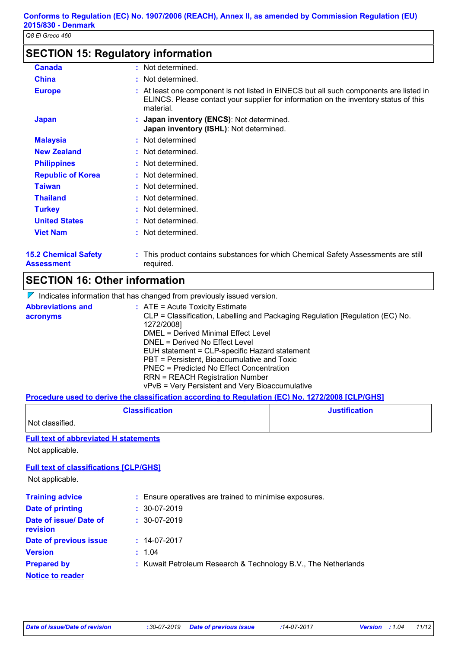# **SECTION 15: Regulatory information**

| <b>Canada</b>               | : Not determined.                                                                                                                                                                           |  |
|-----------------------------|---------------------------------------------------------------------------------------------------------------------------------------------------------------------------------------------|--|
| <b>China</b>                | : Not determined.                                                                                                                                                                           |  |
| <b>Europe</b>               | : At least one component is not listed in EINECS but all such components are listed in<br>ELINCS. Please contact your supplier for information on the inventory status of this<br>material. |  |
| <b>Japan</b>                | : Japan inventory (ENCS): Not determined.<br><b>Japan inventory (ISHL)</b> : Not determined.                                                                                                |  |
| <b>Malaysia</b>             | : Not determined                                                                                                                                                                            |  |
| <b>New Zealand</b>          | : Not determined.                                                                                                                                                                           |  |
| <b>Philippines</b>          | : Not determined.                                                                                                                                                                           |  |
| <b>Republic of Korea</b>    | : Not determined.                                                                                                                                                                           |  |
| <b>Taiwan</b>               | : Not determined.                                                                                                                                                                           |  |
| <b>Thailand</b>             | : Not determined.                                                                                                                                                                           |  |
| <b>Turkey</b>               | : Not determined.                                                                                                                                                                           |  |
| <b>United States</b>        | : Not determined.                                                                                                                                                                           |  |
| <b>Viet Nam</b>             | : Not determined.                                                                                                                                                                           |  |
| <b>15.2 Chemical Safety</b> | : This product contains substances for which Chemical Safety Assessments are still                                                                                                          |  |

**Assessment**

required.

# **SECTION 16: Other information**

 $\nabla$  Indicates information that has changed from previously issued version.

| <b>Abbreviations and</b> | $\therefore$ ATE = Acute Toxicity Estimate                                                  |
|--------------------------|---------------------------------------------------------------------------------------------|
| acronyms                 | CLP = Classification, Labelling and Packaging Regulation [Regulation (EC) No.<br>1272/2008] |
|                          | DMEL = Derived Minimal Effect Level                                                         |
|                          | DNEL = Derived No Effect Level                                                              |
|                          | EUH statement = CLP-specific Hazard statement                                               |
|                          | PBT = Persistent, Bioaccumulative and Toxic                                                 |
|                          | PNEC = Predicted No Effect Concentration                                                    |
|                          | <b>RRN = REACH Registration Number</b>                                                      |
|                          | vPvB = Very Persistent and Very Bioaccumulative                                             |

### **Procedure used to derive the classification according to Regulation (EC) No. 1272/2008 [CLP/GHS]**

| <b>Classification</b> | <b>Justification</b> |
|-----------------------|----------------------|
| Not classified.       |                      |

### **Full text of abbreviated H statements**

Not applicable.

### **Full text of classifications [CLP/GHS]**

Not applicable.

| <b>Training advice</b>             | : Ensure operatives are trained to minimise exposures.         |
|------------------------------------|----------------------------------------------------------------|
| Date of printing                   | $: 30-07-2019$                                                 |
| Date of issue/ Date of<br>revision | $: 30-07-2019$                                                 |
| Date of previous issue             | $: 14-07-2017$                                                 |
| <b>Version</b>                     | : 1.04                                                         |
| <b>Prepared by</b>                 | : Kuwait Petroleum Research & Technology B.V., The Netherlands |
| <b>Notice to reader</b>            |                                                                |